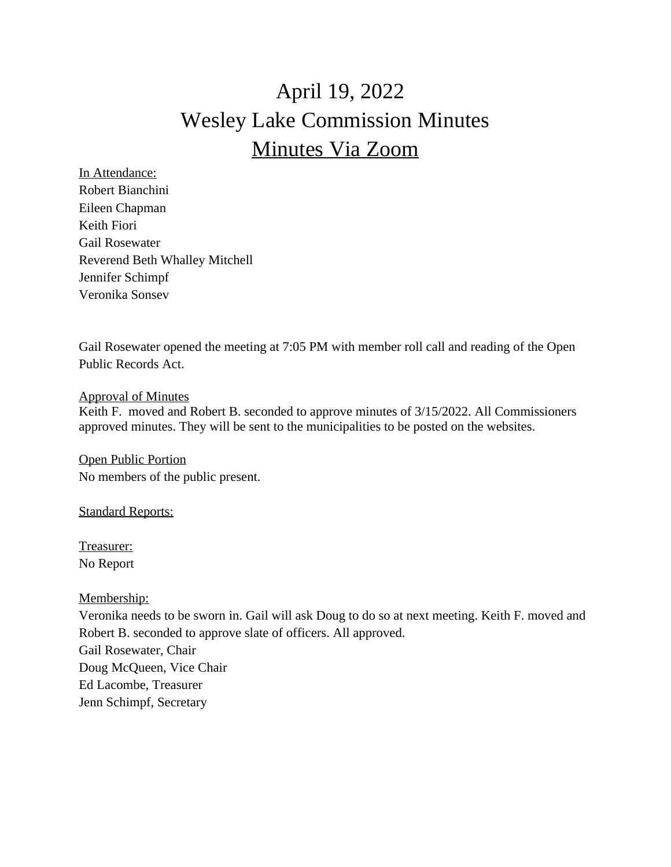# April 19, 2022 Wesley Lake Commission Minutes Minutes Via Zoom

In Attendance: Robert Bianchini Eileen Chapman Keith Fiori Gail Rosewater Reverend Beth Whalley Mitchell Jennifer Schimpf Veronika Sonsev

Gail Rosewater opened the meeting at 7:05 PM with member roll call and reading of the Open Public Records Act.

Approval of Minutes Keith F. moved and Robert B. seconded to approve minutes of 3/15/2022. All Commissioners approved minutes. They will be sent to the municipalities to be posted on the websites.

Open Public Portion No members of the public present.

**Standard Reports:** 

Treasurer: No Report

Membership:

Veronika needs to be sworn in. Gail will ask Doug to do so at next meeting. Keith F. moved and Robert B. seconded to approve slate of officers. All approved. Gail Rosewater, Chair Doug McQueen, Vice Chair Ed Lacombe, Treasurer Jenn Schimpf, Secretary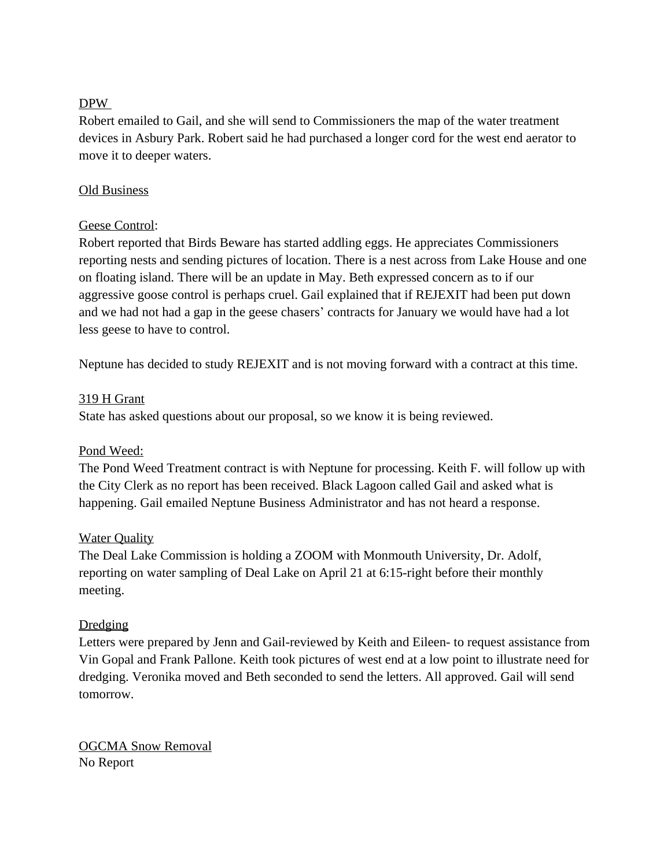# DPW

Robert emailed to Gail, and she will send to Commissioners the map of the water treatment devices in Asbury Park. Robert said he had purchased a longer cord for the west end aerator to move it to deeper waters.

# Old Business

## Geese Control:

Robert reported that Birds Beware has started addling eggs. He appreciates Commissioners reporting nests and sending pictures of location. There is a nest across from Lake House and one on floating island. There will be an update in May. Beth expressed concern as to if our aggressive goose control is perhaps cruel. Gail explained that if REJEXIT had been put down and we had not had a gap in the geese chasers' contracts for January we would have had a lot less geese to have to control.

Neptune has decided to study REJEXIT and is not moving forward with a contract at this time.

## 319 H Grant

State has asked questions about our proposal, so we know it is being reviewed.

#### Pond Weed:

The Pond Weed Treatment contract is with Neptune for processing. Keith F. will follow up with the City Clerk as no report has been received. Black Lagoon called Gail and asked what is happening. Gail emailed Neptune Business Administrator and has not heard a response.

#### **Water Quality**

The Deal Lake Commission is holding a ZOOM with Monmouth University, Dr. Adolf, reporting on water sampling of Deal Lake on April 21 at 6:15-right before their monthly meeting.

#### **Dredging**

Letters were prepared by Jenn and Gail-reviewed by Keith and Eileen- to request assistance from Vin Gopal and Frank Pallone. Keith took pictures of west end at a low point to illustrate need for dredging. Veronika moved and Beth seconded to send the letters. All approved. Gail will send tomorrow.

OGCMA Snow Removal No Report